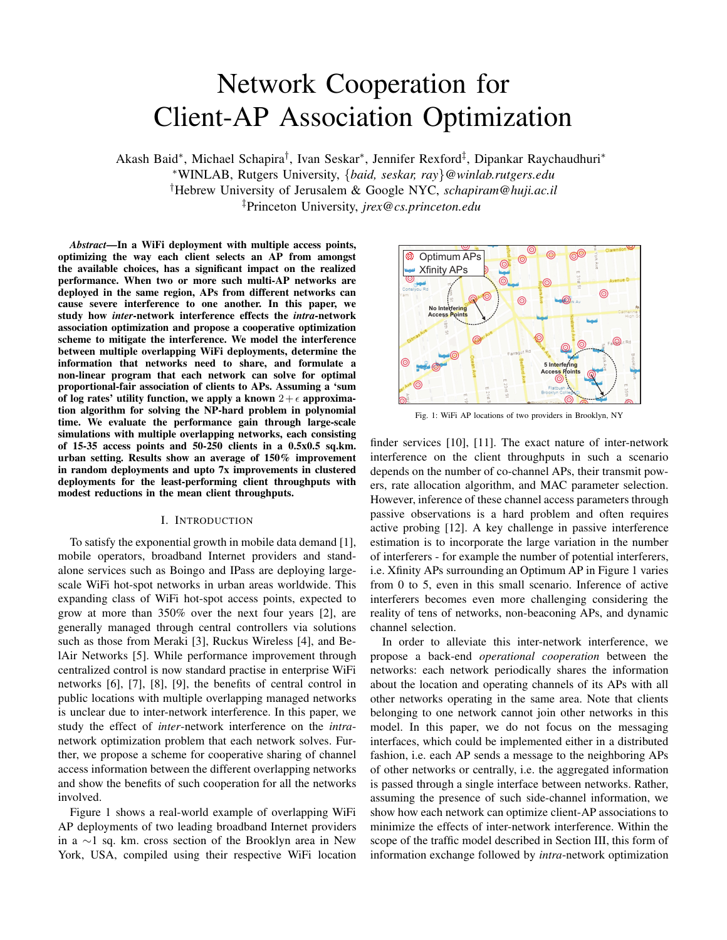# Network Cooperation for Client-AP Association Optimization

Akash Baid\*, Michael Schapira<sup>†</sup>, Ivan Seskar\*, Jennifer Rexford<sup>‡</sup>, Dipankar Raychaudhuri\* <sup>∗</sup>WINLAB, Rutgers University, {*baid, seskar, ray*}*@winlab.rutgers.edu* †Hebrew University of Jerusalem & Google NYC, *schapiram@huji.ac.il* ‡Princeton University, *jrex@cs.princeton.edu*

*Abstract***—In a WiFi deployment with multiple access points, optimizing the way each client selects an AP from amongst the available choices, has a significant impact on the realized performance. When two or more such multi-AP networks are deployed in the same region, APs from different networks can cause severe interference to one another. In this paper, we study how** *inter***-network interference effects the** *intra***-network association optimization and propose a cooperative optimization scheme to mitigate the interference. We model the interference between multiple overlapping WiFi deployments, determine the information that networks need to share, and formulate a non-linear program that each network can solve for optimal proportional-fair association of clients to APs. Assuming a 'sum** of log rates' utility function, we apply a known  $2 + \epsilon$  approxima**tion algorithm for solving the NP-hard problem in polynomial time. We evaluate the performance gain through large-scale simulations with multiple overlapping networks, each consisting of 15-35 access points and 50-250 clients in a 0.5x0.5 sq.km. urban setting. Results show an average of 150% improvement in random deployments and upto 7x improvements in clustered deployments for the least-performing client throughputs with modest reductions in the mean client throughputs.**

### I. INTRODUCTION

To satisfy the exponential growth in mobile data demand [1], mobile operators, broadband Internet providers and standalone services such as Boingo and IPass are deploying largescale WiFi hot-spot networks in urban areas worldwide. This expanding class of WiFi hot-spot access points, expected to grow at more than 350% over the next four years [2], are generally managed through central controllers via solutions such as those from Meraki [3], Ruckus Wireless [4], and BelAir Networks [5]. While performance improvement through centralized control is now standard practise in enterprise WiFi networks [6], [7], [8], [9], the benefits of central control in public locations with multiple overlapping managed networks is unclear due to inter-network interference. In this paper, we study the effect of *inter*-network interference on the *intra*network optimization problem that each network solves. Further, we propose a scheme for cooperative sharing of channel access information between the different overlapping networks and show the benefits of such cooperation for all the networks involved.

Figure 1 shows a real-world example of overlapping WiFi AP deployments of two leading broadband Internet providers in a ∼1 sq. km. cross section of the Brooklyn area in New York, USA, compiled using their respective WiFi location



Fig. 1: WiFi AP locations of two providers in Brooklyn, NY

finder services [10], [11]. The exact nature of inter-network interference on the client throughputs in such a scenario depends on the number of co-channel APs, their transmit powers, rate allocation algorithm, and MAC parameter selection. However, inference of these channel access parameters through passive observations is a hard problem and often requires active probing [12]. A key challenge in passive interference estimation is to incorporate the large variation in the number of interferers - for example the number of potential interferers, i.e. Xfinity APs surrounding an Optimum AP in Figure 1 varies from 0 to 5, even in this small scenario. Inference of active interferers becomes even more challenging considering the reality of tens of networks, non-beaconing APs, and dynamic channel selection.

In order to alleviate this inter-network interference, we propose a back-end *operational cooperation* between the networks: each network periodically shares the information about the location and operating channels of its APs with all other networks operating in the same area. Note that clients belonging to one network cannot join other networks in this model. In this paper, we do not focus on the messaging interfaces, which could be implemented either in a distributed fashion, i.e. each AP sends a message to the neighboring APs of other networks or centrally, i.e. the aggregated information is passed through a single interface between networks. Rather, assuming the presence of such side-channel information, we show how each network can optimize client-AP associations to minimize the effects of inter-network interference. Within the scope of the traffic model described in Section III, this form of information exchange followed by *intra*-network optimization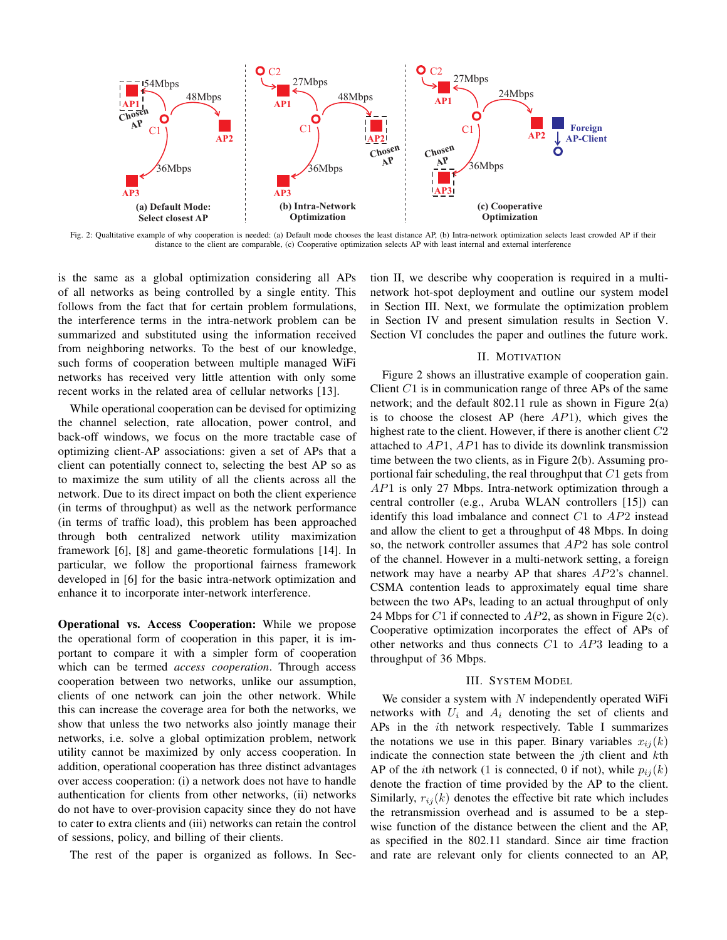

Fig. 2: Qualtitative example of why cooperation is needed: (a) Default mode chooses the least distance AP, (b) Intra-network optimization selects least crowded AP if their distance to the client are comparable, (c) Cooperative optimization selects AP with least internal and external interference

is the same as a global optimization considering all APs of all networks as being controlled by a single entity. This follows from the fact that for certain problem formulations, the interference terms in the intra-network problem can be summarized and substituted using the information received from neighboring networks. To the best of our knowledge, such forms of cooperation between multiple managed WiFi networks has received very little attention with only some recent works in the related area of cellular networks [13].

While operational cooperation can be devised for optimizing the channel selection, rate allocation, power control, and back-off windows, we focus on the more tractable case of optimizing client-AP associations: given a set of APs that a client can potentially connect to, selecting the best AP so as to maximize the sum utility of all the clients across all the network. Due to its direct impact on both the client experience (in terms of throughput) as well as the network performance (in terms of traffic load), this problem has been approached through both centralized network utility maximization framework [6], [8] and game-theoretic formulations [14]. In particular, we follow the proportional fairness framework developed in [6] for the basic intra-network optimization and enhance it to incorporate inter-network interference.

**Operational vs. Access Cooperation:** While we propose the operational form of cooperation in this paper, it is important to compare it with a simpler form of cooperation which can be termed *access cooperation*. Through access cooperation between two networks, unlike our assumption, clients of one network can join the other network. While this can increase the coverage area for both the networks, we show that unless the two networks also jointly manage their networks, i.e. solve a global optimization problem, network utility cannot be maximized by only access cooperation. In addition, operational cooperation has three distinct advantages over access cooperation: (i) a network does not have to handle authentication for clients from other networks, (ii) networks do not have to over-provision capacity since they do not have to cater to extra clients and (iii) networks can retain the control of sessions, policy, and billing of their clients.

The rest of the paper is organized as follows. In Sec-

tion II, we describe why cooperation is required in a multinetwork hot-spot deployment and outline our system model in Section III. Next, we formulate the optimization problem in Section IV and present simulation results in Section V. Section VI concludes the paper and outlines the future work.

#### II. MOTIVATION

Figure 2 shows an illustrative example of cooperation gain. Client  $C1$  is in communication range of three APs of the same network; and the default 802.11 rule as shown in Figure 2(a) is to choose the closest AP (here  $AP1$ ), which gives the highest rate to the client. However, if there is another client C2 attached to  $AP1$ ,  $AP1$  has to divide its downlink transmission time between the two clients, as in Figure 2(b). Assuming proportional fair scheduling, the real throughput that  $C1$  gets from AP1 is only 27 Mbps. Intra-network optimization through a central controller (e.g., Aruba WLAN controllers [15]) can identify this load imbalance and connect  $C1$  to  $AP2$  instead and allow the client to get a throughput of 48 Mbps. In doing so, the network controller assumes that AP2 has sole control of the channel. However in a multi-network setting, a foreign network may have a nearby AP that shares AP2's channel. CSMA contention leads to approximately equal time share between the two APs, leading to an actual throughput of only 24 Mbps for C1 if connected to  $AP2$ , as shown in Figure 2(c). Cooperative optimization incorporates the effect of APs of other networks and thus connects  $C1$  to  $AP3$  leading to a throughput of 36 Mbps.

#### III. SYSTEM MODEL

We consider a system with  $N$  independently operated WiFi networks with  $U_i$  and  $A_i$  denoting the set of clients and APs in the ith network respectively. Table I summarizes the notations we use in this paper. Binary variables  $x_{ij}(k)$ indicate the connection state between the  $j$ th client and  $k$ th AP of the *i*th network (1 is connected, 0 if not), while  $p_{ij}(k)$ denote the fraction of time provided by the AP to the client. Similarly,  $r_{ij}(k)$  denotes the effective bit rate which includes the retransmission overhead and is assumed to be a stepwise function of the distance between the client and the AP, as specified in the 802.11 standard. Since air time fraction and rate are relevant only for clients connected to an AP,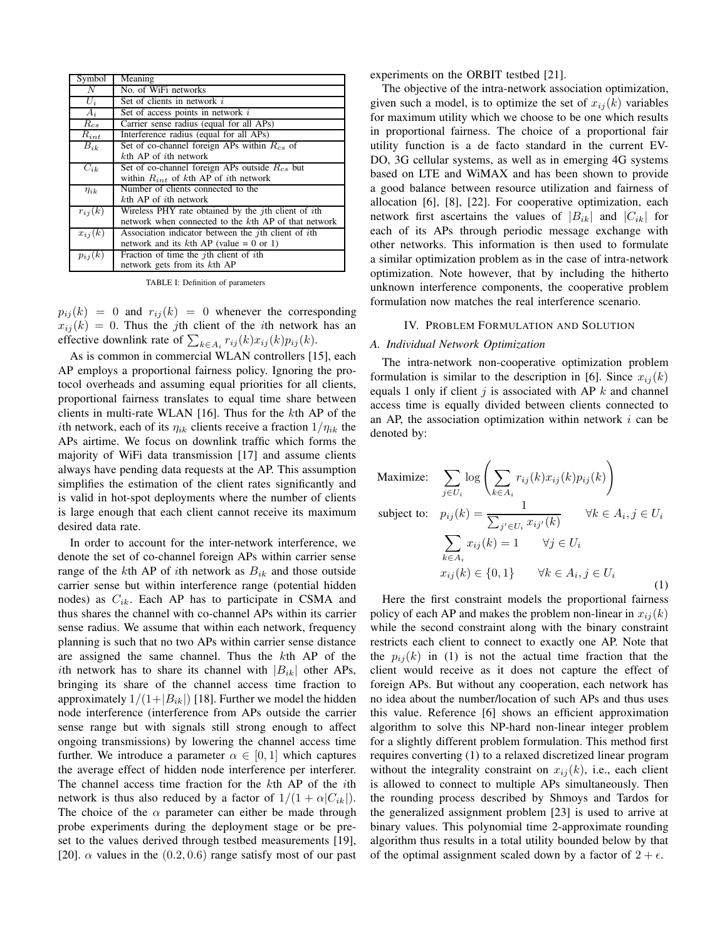| Symbol      | Meaning                                                             |
|-------------|---------------------------------------------------------------------|
| N           | No. of WiFi networks                                                |
| $U_i$       | Set of clients in network $i$                                       |
| $A_i$       | Set of access points in network $i$                                 |
| $R_{cs}$    | Carrier sense radius (equal for all APs)                            |
| $R_{int}$   | Interference radius (equal for all APs)                             |
| $B_{ik}$    | Set of co-channel foreign APs within $R_{cs}$ of                    |
|             | $k$ th AP of <i>i</i> th network                                    |
| $C_{ik}$    | Set of co-channel foreign APs outside $R_{cs}$ but                  |
|             | within $R_{int}$ of kth AP of ith network                           |
| $\eta_{ik}$ | Number of clients connected to the                                  |
|             | $k$ th AP of <i>i</i> th network                                    |
| $r_{ij}(k)$ | Wireless PHY rate obtained by the <i>j</i> th client of <i>i</i> th |
|             | network when connected to the kth AP of that network                |
| $x_{ij}(k)$ | Association indicator between the <i>j</i> th client of <i>i</i> th |
|             | network and its $k$ th AP (value = 0 or 1)                          |
| $p_{ij}(k)$ | Fraction of time the <i>j</i> th client of <i>i</i> th              |
|             | network gets from its kth AP                                        |

TABLE I: Definition of parameters

 $p_{ij}(k) = 0$  and  $r_{ij}(k) = 0$  whenever the corresponding  $x_{ij}(k) = 0$ . Thus the jth client of the *i*th network has an effective downlink rate of  $\sum_{k \in A_i} r_{ij}(k) x_{ij}(k) p_{ij}(k)$ .

As is common in commercial WLAN controllers [15], each AP employs a proportional fairness policy. Ignoring the protocol overheads and assuming equal priorities for all clients, proportional fairness translates to equal time share between clients in multi-rate WLAN [16]. Thus for the kth AP of the *i*th network, each of its  $\eta_{ik}$  clients receive a fraction  $1/\eta_{ik}$  the APs airtime. We focus on downlink traffic which forms the majority of WiFi data transmission [17] and assume clients always have pending data requests at the AP. This assumption simplifies the estimation of the client rates significantly and is valid in hot-spot deployments where the number of clients is large enough that each client cannot receive its maximum desired data rate.

In order to account for the inter-network interference, we denote the set of co-channel foreign APs within carrier sense range of the kth AP of ith network as  $B_{ik}$  and those outside carrier sense but within interference range (potential hidden nodes) as  $C_{ik}$ . Each AP has to participate in CSMA and thus shares the channel with co-channel APs within its carrier sense radius. We assume that within each network, frequency planning is such that no two APs within carrier sense distance are assigned the same channel. Thus the kth AP of the *i*th network has to share its channel with  $|B_{ik}|$  other APs, bringing its share of the channel access time fraction to approximately  $1/(1+|B_{ik}|)$  [18]. Further we model the hidden node interference (interference from APs outside the carrier sense range but with signals still strong enough to affect ongoing transmissions) by lowering the channel access time further. We introduce a parameter  $\alpha \in [0,1]$  which captures the average effect of hidden node interference per interferer. The channel access time fraction for the kth AP of the ith network is thus also reduced by a factor of  $1/(1 + \alpha |C_{ik}|)$ . The choice of the  $\alpha$  parameter can either be made through probe experiments during the deployment stage or be preset to the values derived through testbed measurements [19], [20].  $\alpha$  values in the (0.2, 0.6) range satisfy most of our past

experiments on the ORBIT testbed [21].

The objective of the intra-network association optimization, given such a model, is to optimize the set of  $x_{ij}(k)$  variables for maximum utility which we choose to be one which results in proportional fairness. The choice of a proportional fair utility function is a de facto standard in the current EV-DO, 3G cellular systems, as well as in emerging 4G systems based on LTE and WiMAX and has been shown to provide a good balance between resource utilization and fairness of allocation [6], [8], [22]. For cooperative optimization, each network first ascertains the values of  $|B_{ik}|$  and  $|C_{ik}|$  for each of its APs through periodic message exchange with other networks. This information is then used to formulate a similar optimization problem as in the case of intra-network optimization. Note however, that by including the hitherto unknown interference components, the cooperative problem formulation now matches the real interference scenario.

#### IV. PROBLEM FORMULATION AND SOLUTION

#### *A. Individual Network Optimization*

The intra-network non-cooperative optimization problem formulation is similar to the description in [6]. Since  $x_{ij}(k)$ equals 1 only if client  $j$  is associated with AP  $k$  and channel access time is equally divided between clients connected to an AP, the association optimization within network  $i$  can be denoted by:

Maximize: 
$$
\sum_{j \in U_i} \log \left( \sum_{k \in A_i} r_{ij}(k) x_{ij}(k) p_{ij}(k) \right)
$$
  
subject to: 
$$
p_{ij}(k) = \frac{1}{\sum_{j' \in U_i} x_{ij'}(k)} \quad \forall k \in A_i, j \in U_i
$$

$$
\sum_{k \in A_i} x_{ij}(k) = 1 \quad \forall j \in U_i
$$

$$
x_{ij}(k) \in \{0, 1\} \quad \forall k \in A_i, j \in U_i
$$
(1)

Here the first constraint models the proportional fairness policy of each AP and makes the problem non-linear in  $x_{ij}(k)$ while the second constraint along with the binary constraint restricts each client to connect to exactly one AP. Note that the  $p_{ii}(k)$  in (1) is not the actual time fraction that the client would receive as it does not capture the effect of foreign APs. But without any cooperation, each network has no idea about the number/location of such APs and thus uses this value. Reference [6] shows an efficient approximation algorithm to solve this NP-hard non-linear integer problem for a slightly different problem formulation. This method first requires converting (1) to a relaxed discretized linear program without the integrality constraint on  $x_{ij}(k)$ , i.e., each client is allowed to connect to multiple APs simultaneously. Then the rounding process described by Shmoys and Tardos for the generalized assignment problem [23] is used to arrive at binary values. This polynomial time 2-approximate rounding algorithm thus results in a total utility bounded below by that of the optimal assignment scaled down by a factor of  $2 + \epsilon$ .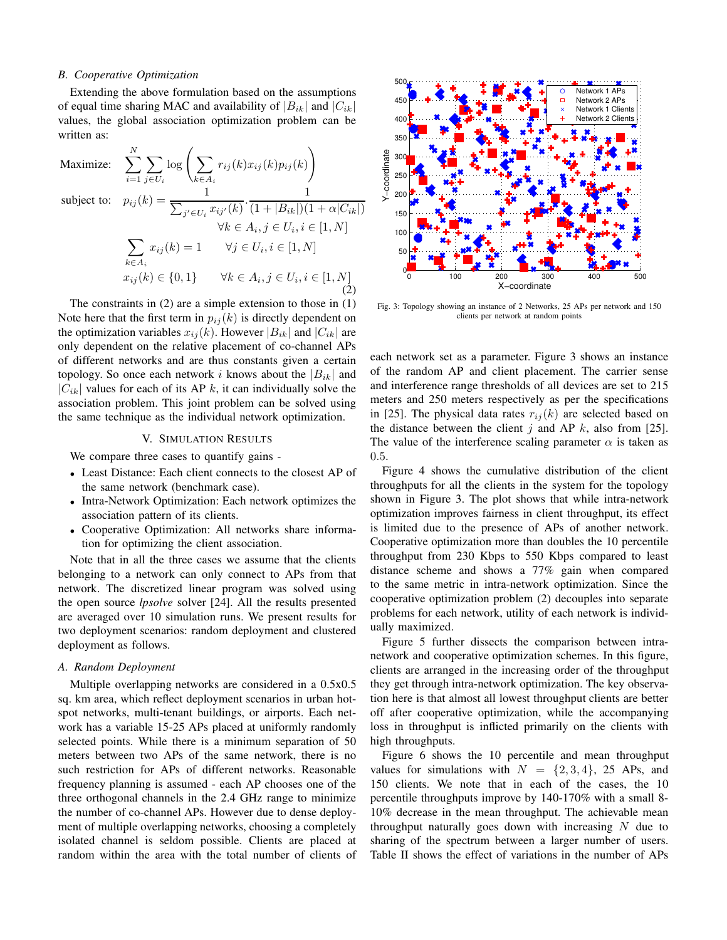#### *B. Cooperative Optimization*

Extending the above formulation based on the assumptions of equal time sharing MAC and availability of  $|B_{ik}|$  and  $|C_{ik}|$ values, the global association optimization problem can be written as:

$$
\begin{aligned}\n\text{Maximize:} \quad & \sum_{i=1}^{N} \sum_{j \in U_i} \log \left( \sum_{k \in A_i} r_{ij}(k) x_{ij}(k) p_{ij}(k) \right) \\
\text{subject to:} \quad & p_{ij}(k) = \frac{1}{\sum_{j' \in U_i} x_{ij'}(k)} \cdot \frac{1}{(1 + |B_{ik}|)(1 + \alpha |C_{ik}|)} \\
& \forall k \in A_i, j \in U_i, i \in [1, N] \\
& \sum_{k \in A_i} x_{ij}(k) = 1 \qquad \forall j \in U_i, i \in [1, N] \\
& x_{ij}(k) \in \{0, 1\} \qquad \forall k \in A_i, j \in U_i, i \in [1, N] \\
& \quad (2)\n\end{aligned}
$$

The constraints in (2) are a simple extension to those in (1) Note here that the first term in  $p_{ij}(k)$  is directly dependent on the optimization variables  $x_{ij}(k)$ . However  $|B_{ik}|$  and  $|C_{ik}|$  are only dependent on the relative placement of co-channel APs of different networks and are thus constants given a certain topology. So once each network i knows about the  $|B_{ik}|$  and  $|C_{ik}|$  values for each of its AP k, it can individually solve the association problem. This joint problem can be solved using the same technique as the individual network optimization.

#### V. SIMULATION RESULTS

We compare three cases to quantify gains -

- Least Distance: Each client connects to the closest AP of the same network (benchmark case).
- Intra-Network Optimization: Each network optimizes the association pattern of its clients.
- Cooperative Optimization: All networks share information for optimizing the client association.

Note that in all the three cases we assume that the clients belonging to a network can only connect to APs from that network. The discretized linear program was solved using the open source *lpsolve* solver [24]. All the results presented are averaged over 10 simulation runs. We present results for two deployment scenarios: random deployment and clustered deployment as follows.

### *A. Random Deployment*

Multiple overlapping networks are considered in a 0.5x0.5 sq. km area, which reflect deployment scenarios in urban hotspot networks, multi-tenant buildings, or airports. Each network has a variable 15-25 APs placed at uniformly randomly selected points. While there is a minimum separation of 50 meters between two APs of the same network, there is no such restriction for APs of different networks. Reasonable frequency planning is assumed - each AP chooses one of the three orthogonal channels in the 2.4 GHz range to minimize the number of co-channel APs. However due to dense deployment of multiple overlapping networks, choosing a completely isolated channel is seldom possible. Clients are placed at random within the area with the total number of clients of



Fig. 3: Topology showing an instance of 2 Networks, 25 APs per network and 150 clients per network at random points

each network set as a parameter. Figure 3 shows an instance of the random AP and client placement. The carrier sense and interference range thresholds of all devices are set to 215 meters and 250 meters respectively as per the specifications in [25]. The physical data rates  $r_{ii}(k)$  are selected based on the distance between the client j and AP  $k$ , also from [25]. The value of the interference scaling parameter  $\alpha$  is taken as 0.5.

Figure 4 shows the cumulative distribution of the client throughputs for all the clients in the system for the topology shown in Figure 3. The plot shows that while intra-network optimization improves fairness in client throughput, its effect is limited due to the presence of APs of another network. Cooperative optimization more than doubles the 10 percentile throughput from 230 Kbps to 550 Kbps compared to least distance scheme and shows a 77% gain when compared to the same metric in intra-network optimization. Since the cooperative optimization problem (2) decouples into separate problems for each network, utility of each network is individually maximized.

Figure 5 further dissects the comparison between intranetwork and cooperative optimization schemes. In this figure, clients are arranged in the increasing order of the throughput they get through intra-network optimization. The key observation here is that almost all lowest throughput clients are better off after cooperative optimization, while the accompanying loss in throughput is inflicted primarily on the clients with high throughputs.

Figure 6 shows the 10 percentile and mean throughput values for simulations with  $N = \{2, 3, 4\}$ , 25 APs, and 150 clients. We note that in each of the cases, the 10 percentile throughputs improve by 140-170% with a small 8- 10% decrease in the mean throughput. The achievable mean throughput naturally goes down with increasing  $N$  due to sharing of the spectrum between a larger number of users. Table II shows the effect of variations in the number of APs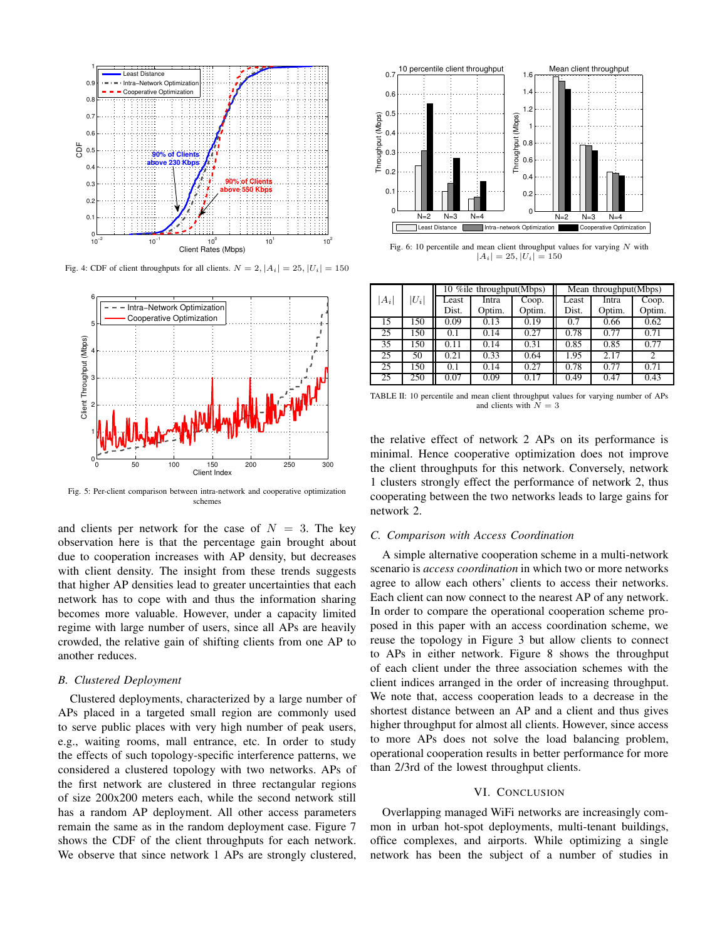

Fig. 4: CDF of client throughputs for all clients.  $N = 2$ ,  $|A_i| = 25$ ,  $|U_i| = 150$ 



Fig. 5: Per-client comparison between intra-network and cooperative optimization schemes

and clients per network for the case of  $N = 3$ . The key observation here is that the percentage gain brought about due to cooperation increases with AP density, but decreases with client density. The insight from these trends suggests that higher AP densities lead to greater uncertainties that each network has to cope with and thus the information sharing becomes more valuable. However, under a capacity limited regime with large number of users, since all APs are heavily crowded, the relative gain of shifting clients from one AP to another reduces.

## *B. Clustered Deployment*

Clustered deployments, characterized by a large number of APs placed in a targeted small region are commonly used to serve public places with very high number of peak users, e.g., waiting rooms, mall entrance, etc. In order to study the effects of such topology-specific interference patterns, we considered a clustered topology with two networks. APs of the first network are clustered in three rectangular regions of size 200x200 meters each, while the second network still has a random AP deployment. All other access parameters remain the same as in the random deployment case. Figure 7 shows the CDF of the client throughputs for each network. We observe that since network 1 APs are strongly clustered,



Fig. 6: 10 percentile and mean client throughput values for varying  $N$  with  $|A_i| = 25, |U_i| = 150$ 

|       |         | 10 % ile throughput (Mbps) |        |        | Mean throughput(Mbps) |        |                |
|-------|---------|----------------------------|--------|--------|-----------------------|--------|----------------|
| $A_i$ | $ U_i $ | Least                      | Intra  | Coop.  | Least                 | Intra  | Coop.          |
|       |         | Dist.                      | Optim. | Optim. | Dist.                 | Optim. | Optim.         |
| 15    | 150     | 0.09                       | 0.13   | 0.19   | 0.7                   | 0.66   | 0.62           |
| 25    | 150     | 0.1                        | 0.14   | 0.27   | 0.78                  | 0.77   | 0.71           |
| 35    | 150     | 0.11                       | 0.14   | 0.31   | 0.85                  | 0.85   | 0.77           |
| 25    | 50      | 0.21                       | 0.33   | 0.64   | 1.95                  | 2.17   | $\overline{c}$ |
| 25    | 150     | 0.1                        | 0.14   | 0.27   | 0.78                  | 0.77   | 0.71           |
| 25    | 250     | 0.07                       | 0.09   | 0.17   | 0.49                  | 0.47   | 0.43           |

TABLE II: 10 percentile and mean client throughput values for varying number of APs and clients with  $N = 3$ 

the relative effect of network 2 APs on its performance is minimal. Hence cooperative optimization does not improve the client throughputs for this network. Conversely, network 1 clusters strongly effect the performance of network 2, thus cooperating between the two networks leads to large gains for network 2.

## *C. Comparison with Access Coordination*

A simple alternative cooperation scheme in a multi-network scenario is *access coordination* in which two or more networks agree to allow each others' clients to access their networks. Each client can now connect to the nearest AP of any network. In order to compare the operational cooperation scheme proposed in this paper with an access coordination scheme, we reuse the topology in Figure 3 but allow clients to connect to APs in either network. Figure 8 shows the throughput of each client under the three association schemes with the client indices arranged in the order of increasing throughput. We note that, access cooperation leads to a decrease in the shortest distance between an AP and a client and thus gives higher throughput for almost all clients. However, since access to more APs does not solve the load balancing problem, operational cooperation results in better performance for more than 2/3rd of the lowest throughput clients.

#### VI. CONCLUSION

Overlapping managed WiFi networks are increasingly common in urban hot-spot deployments, multi-tenant buildings, office complexes, and airports. While optimizing a single network has been the subject of a number of studies in